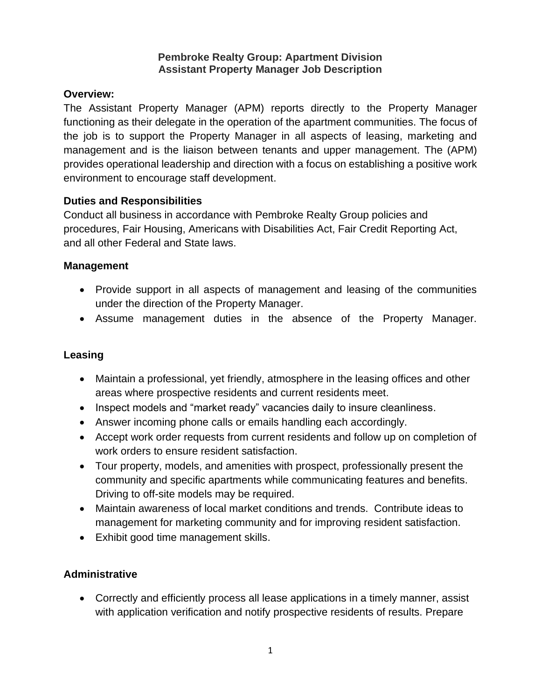#### **Pembroke Realty Group: Apartment Division Assistant Property Manager Job Description**

#### **Overview:**

The Assistant Property Manager (APM) reports directly to the Property Manager functioning as their delegate in the operation of the apartment communities. The focus of the job is to support the Property Manager in all aspects of leasing, marketing and management and is the liaison between tenants and upper management. The (APM) provides operational leadership and direction with a focus on establishing a positive work environment to encourage staff development.

#### **Duties and Responsibilities**

Conduct all business in accordance with Pembroke Realty Group policies and procedures, Fair Housing, Americans with Disabilities Act, Fair Credit Reporting Act, and all other Federal and State laws.

### **Management**

- Provide support in all aspects of management and leasing of the communities under the direction of the Property Manager.
- Assume management duties in the absence of the Property Manager.

## **Leasing**

- Maintain a professional, yet friendly, atmosphere in the leasing offices and other areas where prospective residents and current residents meet.
- Inspect models and "market ready" vacancies daily to insure cleanliness.
- Answer incoming phone calls or emails handling each accordingly.
- Accept work order requests from current residents and follow up on completion of work orders to ensure resident satisfaction.
- Tour property, models, and amenities with prospect, professionally present the community and specific apartments while communicating features and benefits. Driving to off-site models may be required.
- Maintain awareness of local market conditions and trends. Contribute ideas to management for marketing community and for improving resident satisfaction.
- Exhibit good time management skills.

## **Administrative**

• Correctly and efficiently process all lease applications in a timely manner, assist with application verification and notify prospective residents of results. Prepare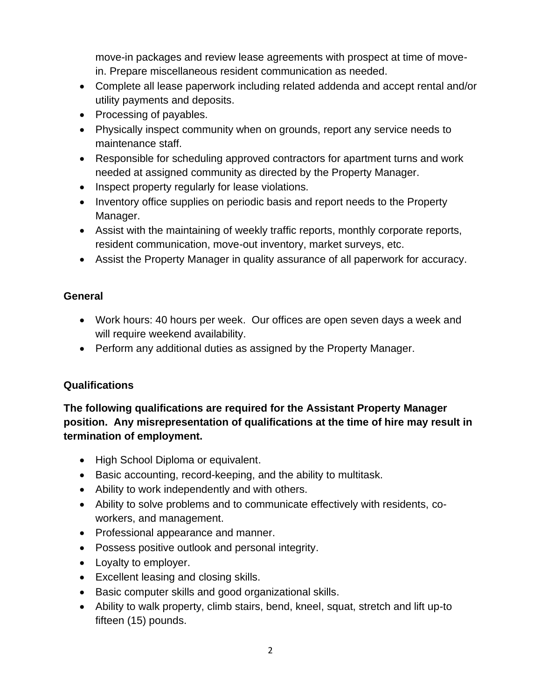move-in packages and review lease agreements with prospect at time of movein. Prepare miscellaneous resident communication as needed.

- Complete all lease paperwork including related addenda and accept rental and/or utility payments and deposits.
- Processing of payables.
- Physically inspect community when on grounds, report any service needs to maintenance staff.
- Responsible for scheduling approved contractors for apartment turns and work needed at assigned community as directed by the Property Manager.
- Inspect property regularly for lease violations.
- Inventory office supplies on periodic basis and report needs to the Property Manager.
- Assist with the maintaining of weekly traffic reports, monthly corporate reports, resident communication, move-out inventory, market surveys, etc.
- Assist the Property Manager in quality assurance of all paperwork for accuracy.

### **General**

- Work hours: 40 hours per week. Our offices are open seven days a week and will require weekend availability.
- Perform any additional duties as assigned by the Property Manager.

## **Qualifications**

# **The following qualifications are required for the Assistant Property Manager position. Any misrepresentation of qualifications at the time of hire may result in termination of employment.**

- High School Diploma or equivalent.
- Basic accounting, record-keeping, and the ability to multitask.
- Ability to work independently and with others.
- Ability to solve problems and to communicate effectively with residents, coworkers, and management.
- Professional appearance and manner.
- Possess positive outlook and personal integrity.
- Loyalty to employer.
- Excellent leasing and closing skills.
- Basic computer skills and good organizational skills.
- Ability to walk property, climb stairs, bend, kneel, squat, stretch and lift up-to fifteen (15) pounds.